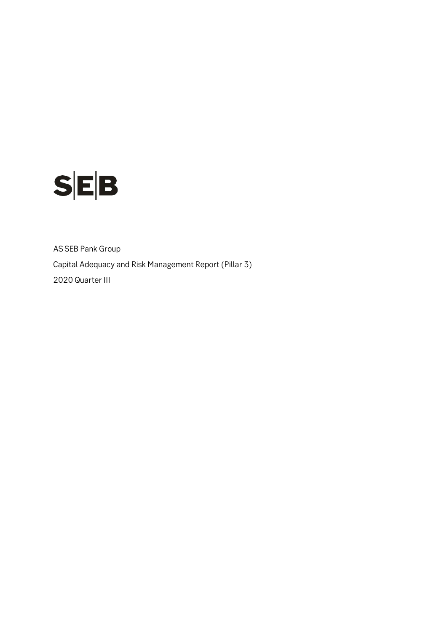

AS SEB Pank Group Capital Adequacy and Risk Management Report (Pillar 3) 2020 Quarter III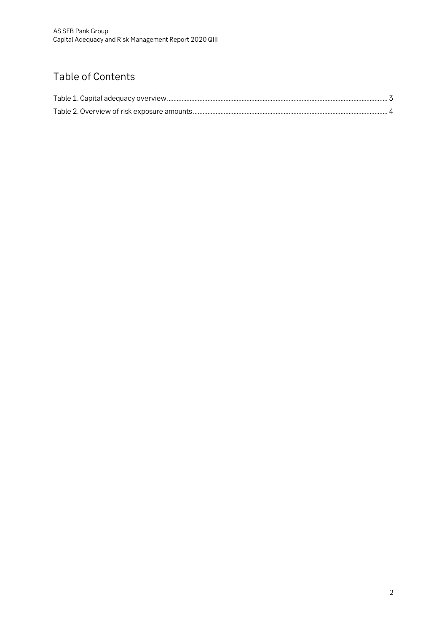## Table of Contents

<span id="page-1-0"></span>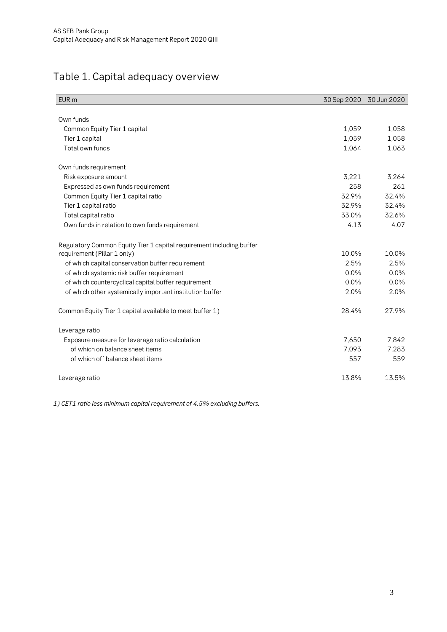## Table 1. Capital adequacy overview

| EUR <sub>m</sub>                                                     | 30 Sep 2020 | 30 Jun 2020 |
|----------------------------------------------------------------------|-------------|-------------|
|                                                                      |             |             |
| Own funds                                                            |             |             |
| Common Equity Tier 1 capital                                         | 1,059       | 1,058       |
| Tier 1 capital                                                       | 1,059       | 1,058       |
| Total own funds                                                      | 1,064       | 1,063       |
| Own funds requirement                                                |             |             |
| Risk exposure amount                                                 | 3,221       | 3,264       |
| Expressed as own funds requirement                                   | 258         | 261         |
| Common Equity Tier 1 capital ratio                                   | 32.9%       | 32.4%       |
| Tier 1 capital ratio                                                 | 32.9%       | 32.4%       |
| Total capital ratio                                                  | 33.0%       | 32.6%       |
| Own funds in relation to own funds requirement                       | 4.13        | 4.07        |
| Regulatory Common Equity Tier 1 capital requirement including buffer |             |             |
| requirement (Pillar 1 only)                                          | 10.0%       | 10.0%       |
| of which capital conservation buffer requirement                     | 2.5%        | 2.5%        |
| of which systemic risk buffer requirement                            | 0.0%        | 0.0%        |
| of which countercyclical capital buffer requirement                  | $0.0\%$     | 0.0%        |
| of which other systemically important institution buffer             | 2.0%        | 2.0%        |
| Common Equity Tier 1 capital available to meet buffer 1)             | 28.4%       | 27.9%       |
| Leverage ratio                                                       |             |             |
| Exposure measure for leverage ratio calculation                      | 7,650       | 7,842       |
| of which on balance sheet items                                      | 7,093       | 7,283       |
| of which off balance sheet items                                     | 557         | 559         |
| Leverage ratio                                                       | 13.8%       | 13.5%       |

*1) CET1 ratio less minimum capital requirement of 4.5% excluding buffers.*